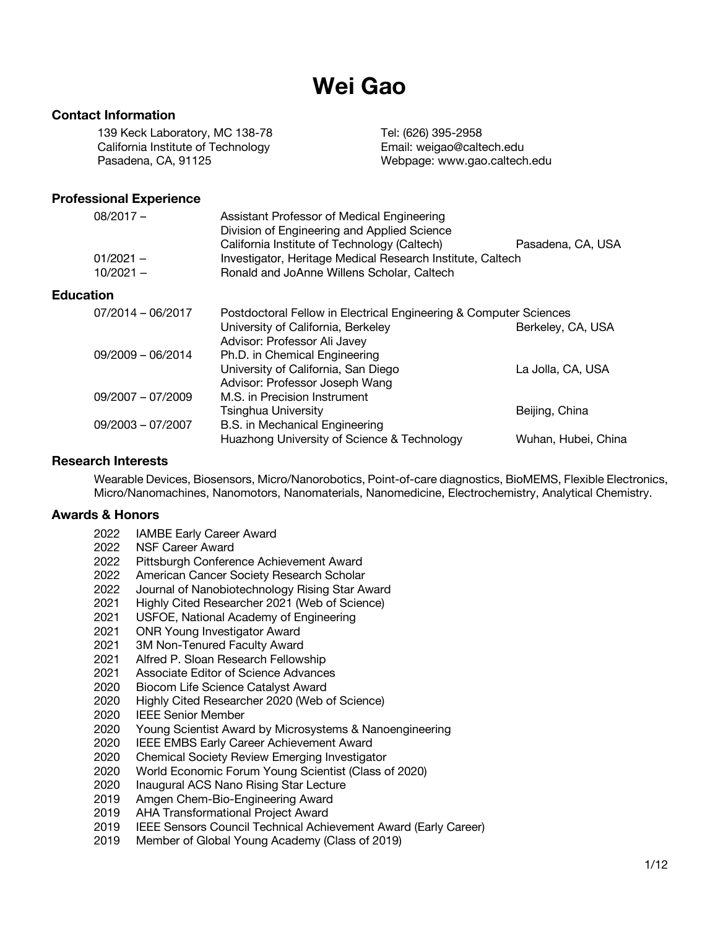# **Wei Gao**

# **Contact Information**

139 Keck Laboratory, MC 138-78 Tel: (626) 395-2958 California Institute of Technology Email: weigao@caltech.edu Pasadena, CA, 91125 Webpage: www.gao.caltech.edu

## **Professional Experience**

| Assistant Professor of Medical Engineering<br>Division of Engineering and Applied Science                | Pasadena, CA, USA                            |
|----------------------------------------------------------------------------------------------------------|----------------------------------------------|
| Investigator, Heritage Medical Research Institute, Caltech<br>Ronald and JoAnne Willens Scholar, Caltech |                                              |
|                                                                                                          |                                              |
| Postdoctoral Fellow in Electrical Engineering & Computer Sciences                                        |                                              |
| University of California, Berkeley<br>Advisor: Professor Ali Javey                                       | Berkeley, CA, USA                            |
| Ph.D. in Chemical Engineering                                                                            |                                              |
| University of California, San Diego<br>Advisor: Professor Joseph Wang                                    | La Jolla, CA, USA                            |
| M.S. in Precision Instrument                                                                             |                                              |
| Tsinghua University                                                                                      | Beijing, China                               |
| <b>B.S.</b> in Mechanical Engineering                                                                    |                                              |
| Huazhong University of Science & Technology                                                              | Wuhan, Hubei, China                          |
|                                                                                                          | California Institute of Technology (Caltech) |

#### **Research Interests**

Wearable Devices, Biosensors, Micro/Nanorobotics, Point-of-care diagnostics, BioMEMS, Flexible Electronics, Micro/Nanomachines, Nanomotors, Nanomaterials, Nanomedicine, Electrochemistry, Analytical Chemistry.

## **Awards & Honors**

- 2022 IAMBE Early Career Award
- 2022 NSF Career Award
- 2022 Pittsburgh Conference Achievement Award
- 2022 American Cancer Society Research Scholar
- 2022 Journal of Nanobiotechnology Rising Star Award
- 2021 Highly Cited Researcher 2021 (Web of Science)
- 2021 USFOE, National Academy of Engineering
- 2021 ONR Young Investigator Award
- 2021 3M Non-Tenured Faculty Award
- 2021 Alfred P. Sloan Research Fellowship
- 2021 Associate Editor of Science Advances
- 2020 Biocom Life Science Catalyst Award
- 2020 Highly Cited Researcher 2020 (Web of Science)
- 2020 IEEE Senior Member
- 2020 Young Scientist Award by Microsystems & Nanoengineering
- 2020 IEEE EMBS Early Career Achievement Award
- 2020 Chemical Society Review Emerging Investigator
- 2020 World Economic Forum Young Scientist (Class of 2020)
- 2020 Inaugural ACS Nano Rising Star Lecture
- 2019 Amgen Chem-Bio-Engineering Award
- 2019 AHA Transformational Project Award
- 2019 IEEE Sensors Council Technical Achievement Award (Early Career)
- 2019 Member of Global Young Academy (Class of 2019)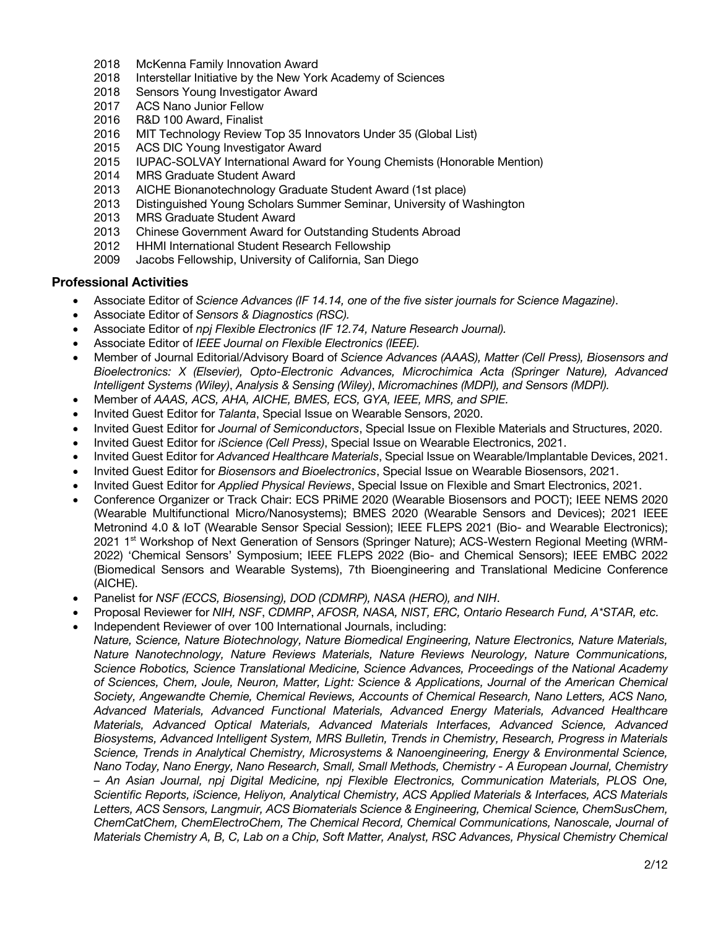- 2018 McKenna Family Innovation Award
- 2018 Interstellar Initiative by the New York Academy of Sciences
- 2018 Sensors Young Investigator Award
- 2017 ACS Nano Junior Fellow
- 2016 R&D 100 Award, Finalist
- 2016 MIT Technology Review Top 35 Innovators Under 35 (Global List)
- 2015 ACS DIC Young Investigator Award
- 2015 IUPAC-SOLVAY International Award for Young Chemists (Honorable Mention)
- 2014 MRS Graduate Student Award
- 2013 AICHE Bionanotechnology Graduate Student Award (1st place)
- 2013 Distinguished Young Scholars Summer Seminar, University of Washington
- 2013 MRS Graduate Student Award
- 2013 Chinese Government Award for Outstanding Students Abroad
- 2012 HHMI International Student Research Fellowship
- 2009 Jacobs Fellowship, University of California, San Diego

#### **Professional Activities**

- Associate Editor of *Science Advances (IF 14.14, one of the five sister journals for Science Magazine)*.
- Associate Editor of *Sensors & Diagnostics (RSC).*
- Associate Editor of *npj Flexible Electronics (IF 12.74, Nature Research Journal).*
- Associate Editor of *IEEE Journal on Flexible Electronics (IEEE).*
- Member of Journal Editorial/Advisory Board of *Science Advances (AAAS), Matter (Cell Press), Biosensors and Bioelectronics: X (Elsevier), Opto-Electronic Advances, Microchimica Acta (Springer Nature), Advanced Intelligent Systems (Wiley)*, *Analysis & Sensing (Wiley)*, *Micromachines (MDPI), and Sensors (MDPI).*
- Member of *AAAS, ACS, AHA, AICHE, BMES, ECS, GYA, IEEE, MRS, and SPIE.*
- Invited Guest Editor for *Talanta*, Special Issue on Wearable Sensors, 2020.
- Invited Guest Editor for *Journal of Semiconductors*, Special Issue on Flexible Materials and Structures, 2020.
- Invited Guest Editor for *iScience (Cell Press)*, Special Issue on Wearable Electronics, 2021.
- Invited Guest Editor for *Advanced Healthcare Materials*, Special Issue on Wearable/Implantable Devices, 2021.
- Invited Guest Editor for *Biosensors and Bioelectronics*, Special Issue on Wearable Biosensors, 2021.
- Invited Guest Editor for *Applied Physical Reviews*, Special Issue on Flexible and Smart Electronics, 2021.
- Conference Organizer or Track Chair: ECS PRiME 2020 (Wearable Biosensors and POCT); IEEE NEMS 2020 (Wearable Multifunctional Micro/Nanosystems); BMES 2020 (Wearable Sensors and Devices); 2021 IEEE Metronind 4.0 & IoT (Wearable Sensor Special Session); IEEE FLEPS 2021 (Bio- and Wearable Electronics); 2021 1<sup>st</sup> Workshop of Next Generation of Sensors (Springer Nature); ACS-Western Regional Meeting (WRM-2022) 'Chemical Sensors' Symposium; IEEE FLEPS 2022 (Bio- and Chemical Sensors); IEEE EMBC 2022 (Biomedical Sensors and Wearable Systems), 7th Bioengineering and Translational Medicine Conference (AICHE).
- Panelist for *NSF (ECCS, Biosensing), DOD (CDMRP), NASA (HERO), and NIH*.
- Proposal Reviewer for *NIH, NSF*, *CDMRP*, *AFOSR, NASA, NIST, ERC, Ontario Research Fund, A\*STAR, etc.*
- Independent Reviewer of over 100 International Journals, including:
- *Nature, Science, Nature Biotechnology, Nature Biomedical Engineering, Nature Electronics, Nature Materials, Nature Nanotechnology, Nature Reviews Materials, Nature Reviews Neurology, Nature Communications, Science Robotics, Science Translational Medicine, Science Advances, Proceedings of the National Academy of Sciences, Chem, Joule, Neuron, Matter, Light: Science & Applications, Journal of the American Chemical Society, Angewandte Chemie, Chemical Reviews, Accounts of Chemical Research, Nano Letters, ACS Nano, Advanced Materials, Advanced Functional Materials, Advanced Energy Materials, Advanced Healthcare Materials, Advanced Optical Materials, Advanced Materials Interfaces, Advanced Science, Advanced Biosystems, Advanced Intelligent System, MRS Bulletin, Trends in Chemistry, Research, Progress in Materials Science, Trends in Analytical Chemistry, Microsystems & Nanoengineering, Energy & Environmental Science, Nano Today, Nano Energy, Nano Research, Small, Small Methods, Chemistry - A European Journal, Chemistry – An Asian Journal, npj Digital Medicine, npj Flexible Electronics, Communication Materials, PLOS One, Scientific Reports, iScience, Heliyon, Analytical Chemistry, ACS Applied Materials & Interfaces, ACS Materials Letters, ACS Sensors, Langmuir, ACS Biomaterials Science & Engineering, Chemical Science, ChemSusChem, ChemCatChem, ChemElectroChem, The Chemical Record, Chemical Communications, Nanoscale, Journal of Materials Chemistry A, B, C, Lab on a Chip, Soft Matter, Analyst, RSC Advances, Physical Chemistry Chemical*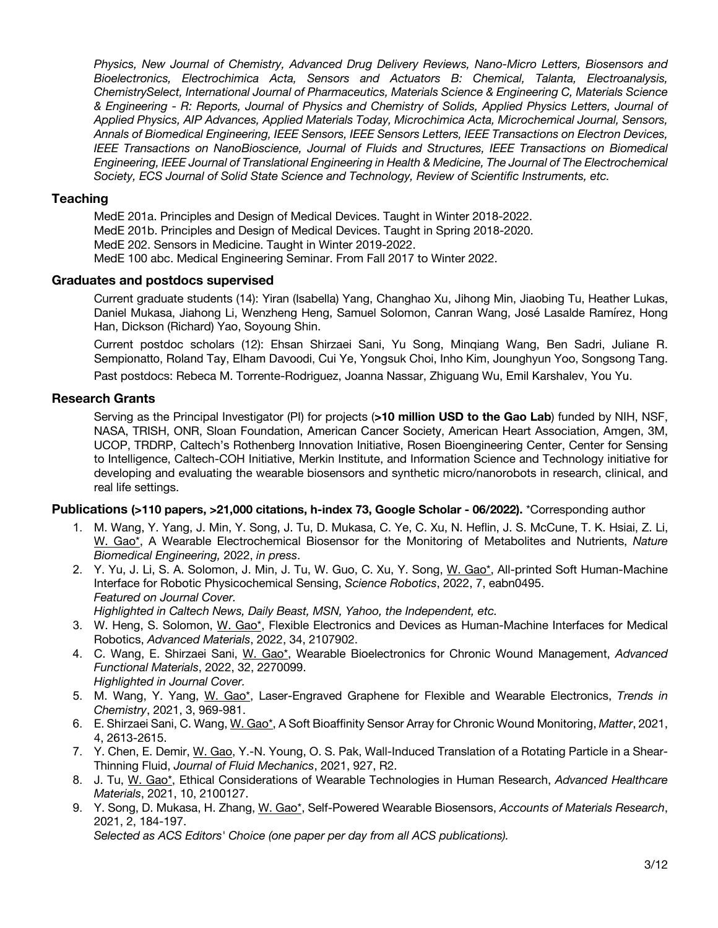*Physics, New Journal of Chemistry, Advanced Drug Delivery Reviews, Nano-Micro Letters, Biosensors and Bioelectronics, Electrochimica Acta, Sensors and Actuators B: Chemical, Talanta, Electroanalysis, ChemistrySelect, International Journal of Pharmaceutics, Materials Science & Engineering C, Materials Science & Engineering - R: Reports, Journal of Physics and Chemistry of Solids, Applied Physics Letters, Journal of Applied Physics, AIP Advances, Applied Materials Today, Microchimica Acta, Microchemical Journal, Sensors, Annals of Biomedical Engineering, IEEE Sensors, IEEE Sensors Letters, IEEE Transactions on Electron Devices, IEEE Transactions on NanoBioscience, Journal of Fluids and Structures, IEEE Transactions on Biomedical Engineering, IEEE Journal of Translational Engineering in Health & Medicine, The Journal of The Electrochemical Society, ECS Journal of Solid State Science and Technology, Review of Scientific Instruments, etc.*

#### **Teaching**

MedE 201a. Principles and Design of Medical Devices. Taught in Winter 2018-2022. MedE 201b. Principles and Design of Medical Devices. Taught in Spring 2018-2020. MedE 202. Sensors in Medicine. Taught in Winter 2019-2022. MedE 100 abc. Medical Engineering Seminar. From Fall 2017 to Winter 2022.

#### **Graduates and postdocs supervised**

Current graduate students (14): Yiran (Isabella) Yang, Changhao Xu, Jihong Min, Jiaobing Tu, Heather Lukas, Daniel Mukasa, Jiahong Li, Wenzheng Heng, Samuel Solomon, Canran Wang, José Lasalde Ramírez, Hong Han, Dickson (Richard) Yao, Soyoung Shin.

Current postdoc scholars (12): Ehsan Shirzaei Sani, Yu Song, Minqiang Wang, Ben Sadri, Juliane R. Sempionatto, Roland Tay, Elham Davoodi, Cui Ye, Yongsuk Choi, Inho Kim, Jounghyun Yoo, Songsong Tang.

Past postdocs: Rebeca M. Torrente-Rodriguez, Joanna Nassar, Zhiguang Wu, Emil Karshalev, You Yu.

## **Research Grants**

Serving as the Principal Investigator (PI) for projects (**>10 million USD to the Gao Lab**) funded by NIH, NSF, NASA, TRISH, ONR, Sloan Foundation, American Cancer Society, American Heart Association, Amgen, 3M, UCOP, TRDRP, Caltech's Rothenberg Innovation Initiative, Rosen Bioengineering Center, Center for Sensing to Intelligence, Caltech-COH Initiative, Merkin Institute, and Information Science and Technology initiative for developing and evaluating the wearable biosensors and synthetic micro/nanorobots in research, clinical, and real life settings.

#### **Publications (>110 papers, >21,000 citations, h-index 73, Google Scholar - 06/2022).** \*Corresponding author

- 1. M. Wang, Y. Yang, J. Min, Y. Song, J. Tu, D. Mukasa, C. Ye, C. Xu, N. Heflin, J. S. McCune, T. K. Hsiai, Z. Li, W. Gao\*, A Wearable Electrochemical Biosensor for the Monitoring of Metabolites and Nutrients, *Nature Biomedical Engineering,* 2022, *in press*.
- 2. Y. Yu, J. Li, S. A. Solomon, J. Min, J. Tu, W. Guo, C. Xu, Y. Song, W. Gao\*, All-printed Soft Human-Machine Interface for Robotic Physicochemical Sensing, *Science Robotics*, 2022, 7, eabn0495. *Featured on Journal Cover.*

*Highlighted in Caltech News, Daily Beast, MSN, Yahoo, the Independent, etc.*

- 3. W. Heng, S. Solomon, W. Gao\*, Flexible Electronics and Devices as Human-Machine Interfaces for Medical Robotics, *Advanced Materials*, 2022, 34, 2107902.
- 4. C. Wang, E. Shirzaei Sani, W. Gao\*, Wearable Bioelectronics for Chronic Wound Management, *Advanced Functional Materials*, 2022, 32, 2270099. *Highlighted in Journal Cover.*
- 5. M. Wang, Y. Yang, W. Gao\*, Laser-Engraved Graphene for Flexible and Wearable Electronics, *Trends in Chemistry*, 2021, 3, 969-981.
- 6. E. Shirzaei Sani, C. Wang, W. Gao\*, A Soft Bioaffinity Sensor Array for Chronic Wound Monitoring, *Matter*, 2021, 4, 2613-2615.
- 7. Y. Chen, E. Demir, W. Gao, Y.-N. Young, O. S. Pak, Wall-Induced Translation of a Rotating Particle in a Shear-Thinning Fluid, *Journal of Fluid Mechanics*, 2021, 927, R2.
- 8. J. Tu, W. Gao\*, Ethical Considerations of Wearable Technologies in Human Research, *Advanced Healthcare Materials*, 2021, 10, 2100127.
- 9. Y. Song, D. Mukasa, H. Zhang, W. Gao\*, Self-Powered Wearable Biosensors, *Accounts of Materials Research*, 2021, 2, 184-197.

*Selected as ACS Editors' Choice (one paper per day from all ACS publications).*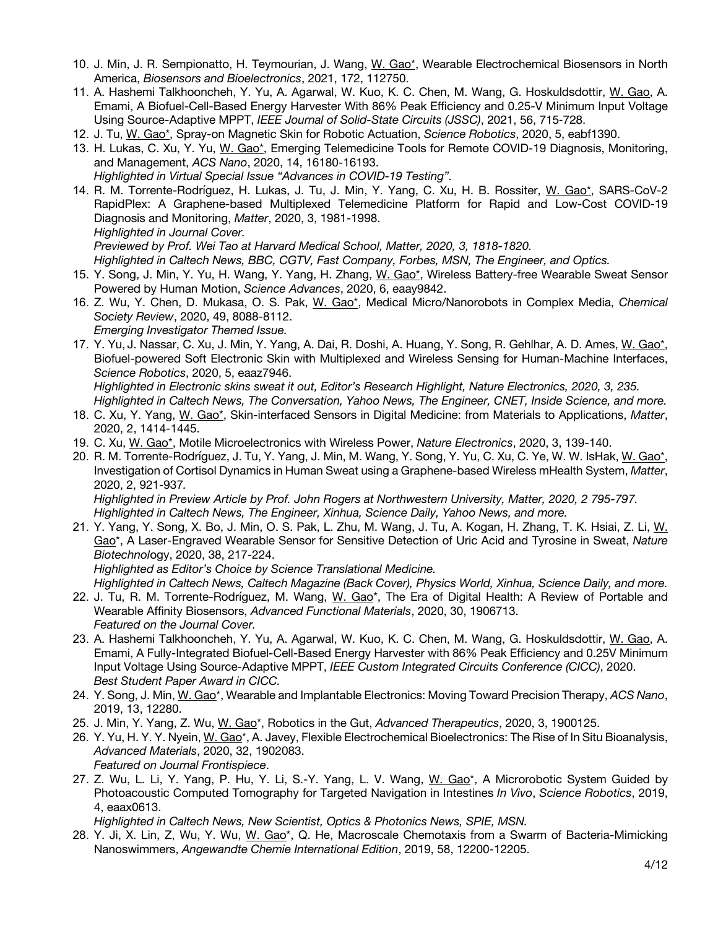- 10. J. Min, J. R. Sempionatto, H. Teymourian, J. Wang, W. Gao\*, Wearable Electrochemical Biosensors in North America, *Biosensors and Bioelectronics*, 2021, 172, 112750.
- 11. A. Hashemi Talkhooncheh, Y. Yu, A. Agarwal, W. Kuo, K. C. Chen, M. Wang, G. Hoskuldsdottir, W. Gao, A. Emami, A Biofuel-Cell-Based Energy Harvester With 86% Peak Efficiency and 0.25-V Minimum Input Voltage Using Source-Adaptive MPPT, *IEEE Journal of Solid-State Circuits (JSSC)*, 2021, 56, 715-728.
- 12. J. Tu, W. Gao\*, Spray-on Magnetic Skin for Robotic Actuation, *Science Robotics*, 2020, 5, eabf1390.
- 13. H. Lukas, C. Xu, Y. Yu, W. Gao\*, Emerging Telemedicine Tools for Remote COVID-19 Diagnosis, Monitoring, and Management, *ACS Nano*, 2020, 14, 16180-16193. *Highlighted in Virtual Special Issue "Advances in COVID-19 Testing".*
- 14. R. M. Torrente-Rodríguez, H. Lukas, J. Tu, J. Min, Y. Yang, C. Xu, H. B. Rossiter, W. Gao\*, SARS-CoV-2 RapidPlex: A Graphene-based Multiplexed Telemedicine Platform for Rapid and Low-Cost COVID-19 Diagnosis and Monitoring, *Matter*, 2020, 3, 1981-1998. *Highlighted in Journal Cover. Previewed by Prof. Wei Tao at Harvard Medical School, Matter, 2020, 3, 1818-1820.*

*Highlighted in Caltech News, BBC, CGTV, Fast Company, Forbes, MSN, The Engineer, and Optics.*

- 15. Y. Song, J. Min, Y. Yu, H. Wang, Y. Yang, H. Zhang, W. Gao\*, Wireless Battery-free Wearable Sweat Sensor Powered by Human Motion, *Science Advances*, 2020, 6, eaay9842.
- 16. Z. Wu, Y. Chen, D. Mukasa, O. S. Pak, W. Gao\*, Medical Micro/Nanorobots in Complex Media, *Chemical Society Review*, 2020, 49, 8088-8112. *Emerging Investigator Themed Issue.*
- 17. Y. Yu, J. Nassar, C. Xu, J. Min, Y. Yang, A. Dai, R. Doshi, A. Huang, Y. Song, R. Gehlhar, A. D. Ames, W. Gao\*, Biofuel-powered Soft Electronic Skin with Multiplexed and Wireless Sensing for Human-Machine Interfaces, *Science Robotics*, 2020, 5, eaaz7946.

*Highlighted in Electronic skins sweat it out, Editor's Research Highlight, Nature Electronics, 2020, 3, 235.*

- *Highlighted in Caltech News, The Conversation, Yahoo News, The Engineer, CNET, Inside Science, and more.* 18. C. Xu, Y. Yang, W. Gao\*, Skin-interfaced Sensors in Digital Medicine: from Materials to Applications, *Matter*, 2020, 2, 1414-1445.
- 19. C. Xu, W. Gao\*, Motile Microelectronics with Wireless Power, *Nature Electronics*, 2020, 3, 139-140.
- 20. R. M. Torrente-Rodríguez, J. Tu, Y. Yang, J. Min, M. Wang, Y. Song, Y. Yu, C. Xu, C. Ye, W. W. IsHak, W. Gao\*, Investigation of Cortisol Dynamics in Human Sweat using a Graphene-based Wireless mHealth System, *Matter*, 2020, 2, 921-937*.*

*Highlighted in Preview Article by Prof. John Rogers at Northwestern University, Matter, 2020, 2 795-797. Highlighted in Caltech News, The Engineer, Xinhua, Science Daily, Yahoo News, and more.*

21. Y. Yang, Y. Song, X. Bo, J. Min, O. S. Pak, L. Zhu, M. Wang, J. Tu, A. Kogan, H. Zhang, T. K. Hsiai, Z. Li, W. Gao\*, A Laser-Engraved Wearable Sensor for Sensitive Detection of Uric Acid and Tyrosine in Sweat, *Nature Biotechnol*ogy, 2020, 38, 217-224.

*Highlighted as Editor's Choice by Science Translational Medicine.*

*Highlighted in Caltech News, Caltech Magazine (Back Cover), Physics World, Xinhua, Science Daily, and more.* 22. J. Tu, R. M. Torrente-Rodríguez, M. Wang, W. Gao\*, The Era of Digital Health: A Review of Portable and Wearable Affinity Biosensors, *Advanced Functional Materials*, 2020, 30, 1906713.

- *Featured on the Journal Cover.*
- 23. A. Hashemi Talkhooncheh, Y. Yu, A. Agarwal, W. Kuo, K. C. Chen, M. Wang, G. Hoskuldsdottir, W. Gao, A. Emami, A Fully-Integrated Biofuel-Cell-Based Energy Harvester with 86% Peak Efficiency and 0.25V Minimum Input Voltage Using Source-Adaptive MPPT, *IEEE Custom Integrated Circuits Conference (CICC)*, 2020. *Best Student Paper Award in CICC.*
- 24. Y. Song, J. Min, W. Gao\*, Wearable and Implantable Electronics: Moving Toward Precision Therapy, *ACS Nano*, 2019, 13, 12280.
- 25. J. Min, Y. Yang, Z. Wu, W. Gao\*, Robotics in the Gut, *Advanced Therapeutics*, 2020, 3, 1900125.
- 26. Y. Yu, H. Y. Y. Nyein, W. Gao\*, A. Javey, Flexible Electrochemical Bioelectronics: The Rise of In Situ Bioanalysis, *Advanced Materials*, 2020, 32, 1902083. *Featured on Journal Frontispiece*.
- 27. Z. Wu, L. Li, Y. Yang, P. Hu, Y. Li, S.-Y. Yang, L. V. Wang, W. Gao\*, A Microrobotic System Guided by Photoacoustic Computed Tomography for Targeted Navigation in Intestines *In Vivo*, *Science Robotics*, 2019, 4, eaax0613.

*Highlighted in Caltech News, New Scientist, Optics & Photonics News, SPIE, MSN.*

28. Y. Ji, X. Lin, Z, Wu, Y. Wu, W. Gao\*, Q. He, Macroscale Chemotaxis from a Swarm of Bacteria‐Mimicking Nanoswimmers, *Angewandte Chemie International Edition*, 2019, 58, 12200-12205.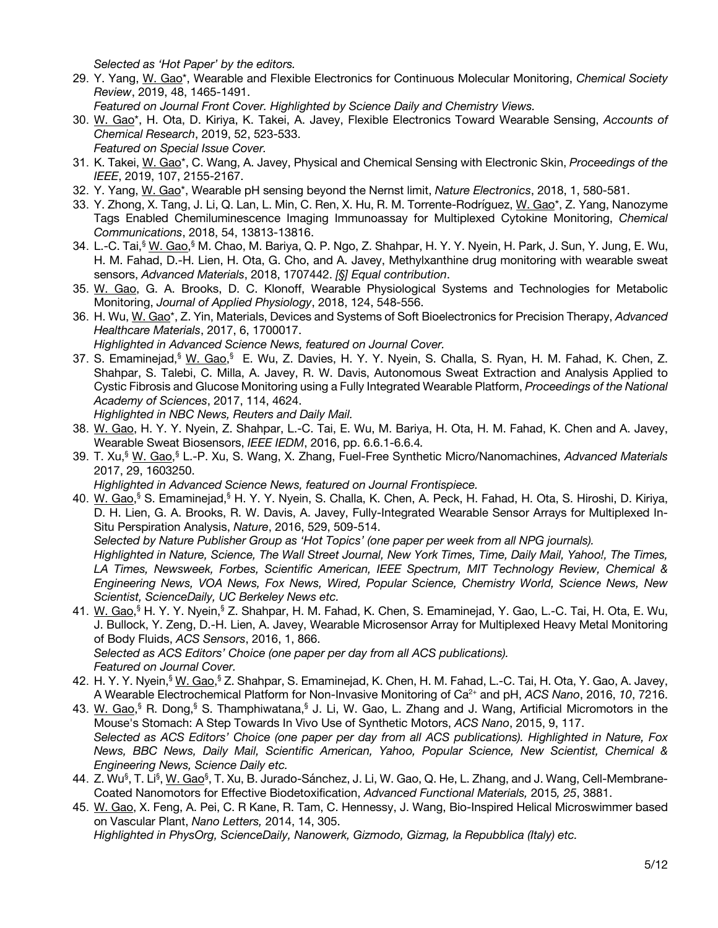*Selected as 'Hot Paper' by the editors.*

29. Y. Yang, W. Gao\*, Wearable and Flexible Electronics for Continuous Molecular Monitoring, *Chemical Society Review*, 2019, 48, 1465-1491.

*Featured on Journal Front Cover. Highlighted by Science Daily and Chemistry Views.*

- 30. W. Gao\*, H. Ota, D. Kiriya, K. Takei, A. Javey, Flexible Electronics Toward Wearable Sensing, *Accounts of Chemical Research*, 2019, 52, 523-533. *Featured on Special Issue Cover.*
- 31. K. Takei, W. Gao\*, C. Wang, A. Javey, Physical and Chemical Sensing with Electronic Skin, *Proceedings of the IEEE*, 2019, 107, 2155-2167.
- 32. Y. Yang, W. Gao\*, Wearable pH sensing beyond the Nernst limit, *Nature Electronics*, 2018, 1, 580-581.
- 33. Y. Zhong, X. Tang, J. Li, Q. Lan, L. Min, C. Ren, X. Hu, R. M. Torrente-Rodríguez, W. Gao\*, Z. Yang, Nanozyme Tags Enabled Chemiluminescence Imaging Immunoassay for Multiplexed Cytokine Monitoring, *Chemical Communications*, 2018, 54, 13813-13816.
- 34. L.-C. Tai,<sup>§</sup> W. Gao,<sup>§</sup> M. Chao, M. Bariya, Q. P. Ngo, Z. Shahpar, H. Y. Y. Nyein, H. Park, J. Sun, Y. Jung, E. Wu, H. M. Fahad, D.-H. Lien, H. Ota, G. Cho, and A. Javey, Methylxanthine drug monitoring with wearable sweat sensors, *Advanced Materials*, 2018, 1707442. *[§] Equal contribution*.
- 35. W. Gao, G. A. Brooks, D. C. Klonoff, Wearable Physiological Systems and Technologies for Metabolic Monitoring, *Journal of Applied Physiology*, 2018, 124, 548-556.
- 36. H. Wu, W. Gao\*, Z. Yin, Materials, Devices and Systems of Soft Bioelectronics for Precision Therapy, *Advanced Healthcare Materials*, 2017, 6, 1700017. *Highlighted in Advanced Science News, featured on Journal Cover.*
- 37. S. Emaminejad, <sup>§</sup> W. Gao, § E. Wu, Z. Davies, H. Y. Y. Nyein, S. Challa, S. Ryan, H. M. Fahad, K. Chen, Z. Shahpar, S. Talebi, C. Milla, A. Javey, R. W. Davis, Autonomous Sweat Extraction and Analysis Applied to Cystic Fibrosis and Glucose Monitoring using a Fully Integrated Wearable Platform, *Proceedings of the National Academy of Sciences*, 2017, 114, 4624.
	- *Highlighted in NBC News, Reuters and Daily Mail.*
- 38. W. Gao, H. Y. Y. Nyein, Z. Shahpar, L.-C. Tai, E. Wu, M. Bariya, H. Ota, H. M. Fahad, K. Chen and A. Javey, Wearable Sweat Biosensors, *IEEE IEDM*, 2016, pp. 6.6.1-6.6.4*.*
- 39. T. Xu,§ W. Gao, § L.-P. Xu, S. Wang, X. Zhang, Fuel-Free Synthetic Micro/Nanomachines, *Advanced Materials* 2017, 29, 1603250.

*Highlighted in Advanced Science News, featured on Journal Frontispiece.*

40. W. Gao,<sup>§</sup> S. Emaminejad,<sup>§</sup> H. Y. Y. Nyein, S. Challa, K. Chen, A. Peck, H. Fahad, H. Ota, S. Hiroshi, D. Kiriya, D. H. Lien, G. A. Brooks, R. W. Davis, A. Javey, Fully-Integrated Wearable Sensor Arrays for Multiplexed In-Situ Perspiration Analysis, *Nature*, 2016, 529, 509-514.

*Selected by Nature Publisher Group as 'Hot Topics' (one paper per week from all NPG journals).*

*Highlighted in Nature, Science, The Wall Street Journal, New York Times, Time, Daily Mail, Yahoo!, The Times, LA Times, Newsweek, Forbes, Scientific American, IEEE Spectrum, MIT Technology Review, Chemical & Engineering News, VOA News, Fox News, Wired, Popular Science, Chemistry World, Science News, New Scientist, ScienceDaily, UC Berkeley News etc.*

41. W. Gao,<sup>§</sup> H. Y. Y. Nyein,<sup>§</sup> Z. Shahpar, H. M. Fahad, K. Chen, S. Emaminejad, Y. Gao, L.-C. Tai, H. Ota, E. Wu, J. Bullock, Y. Zeng, D.-H. Lien, A. Javey, Wearable Microsensor Array for Multiplexed Heavy Metal Monitoring of Body Fluids, *ACS Sensors*, 2016, 1, 866.

*Selected as ACS Editors' Choice (one paper per day from all ACS publications). Featured on Journal Cover.*

- 42. H. Y. Y. Nyein,<sup>§</sup> W. Gao,<sup>§</sup> Z. Shahpar, S. Emaminejad, K. Chen, H. M. Fahad, L.-C. Tai, H. Ota, Y. Gao, A. Javey, A Wearable Electrochemical Platform for Non-Invasive Monitoring of Ca2+ and pH, *ACS Nano*, 2016, *10*, 7216.
- 43. W. Gao,<sup>§</sup> R. Dong,<sup>§</sup> S. Thamphiwatana,<sup>§</sup> J. Li, W. Gao, L. Zhang and J. Wang, Artificial Micromotors in the Mouse's Stomach: A Step Towards In Vivo Use of Synthetic Motors, *ACS Nano*, 2015, 9, 117. *Selected as ACS Editors' Choice (one paper per day from all ACS publications). Highlighted in Nature, Fox News, BBC News, Daily Mail, Scientific American, Yahoo, Popular Science, New Scientist, Chemical & Engineering News, Science Daily etc.*
- 44. Z. Wu<sup>§</sup>, T. Li<sup>§</sup>, <u>W. Gao</u>§, T. Xu, B. Jurado-Sánchez, J. Li, W. Gao, Q. He, L. Zhang, and J. Wang, Cell-Membrane-Coated Nanomotors for Effective Biodetoxification, *Advanced Functional Materials,* 2015*, 25*, 3881.

45. W. Gao, X. Feng, A. Pei, C. R Kane, R. Tam, C. Hennessy, J. Wang, Bio-Inspired Helical Microswimmer based on Vascular Plant, *Nano Letters,* 2014, 14, 305.

*Highlighted in PhysOrg, ScienceDaily, Nanowerk, Gizmodo, Gizmag, la Repubblica (Italy) etc.*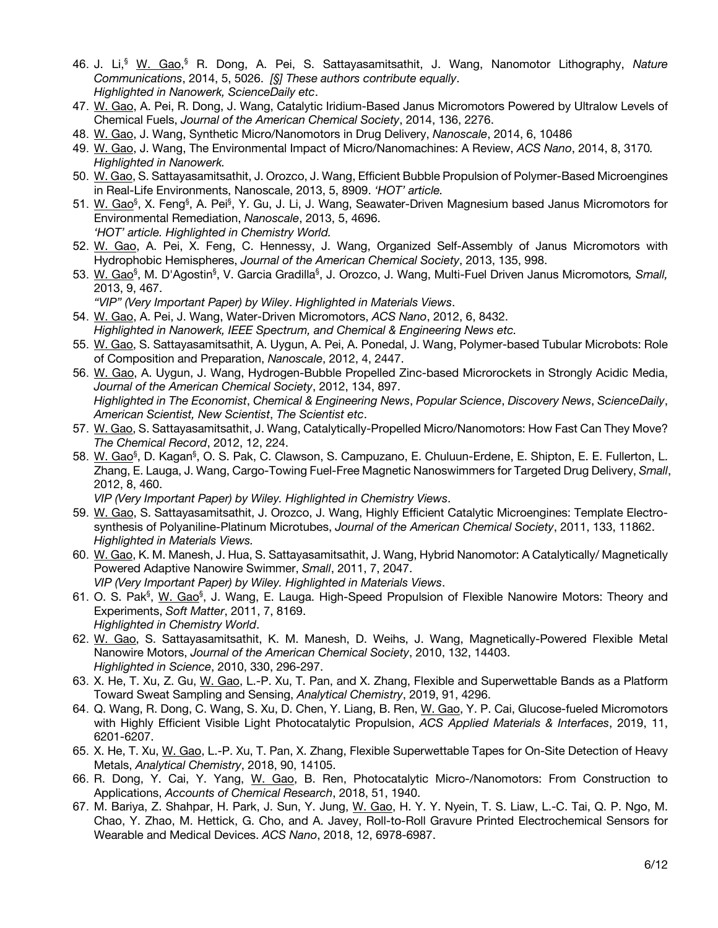- 46. J. Li, § W. Gao, § R. Dong, A. Pei, S. Sattayasamitsathit, J. Wang, Nanomotor Lithography, *Nature Communications*, 2014, 5, 5026. *[§] These authors contribute equally*. *Highlighted in Nanowerk, ScienceDaily etc*.
- 47. W. Gao, A. Pei, R. Dong, J. Wang, Catalytic Iridium-Based Janus Micromotors Powered by Ultralow Levels of Chemical Fuels, *Journal of the American Chemical Society*, 2014, 136, 2276.
- 48. W. Gao, J. Wang, Synthetic Micro/Nanomotors in Drug Delivery, *Nanoscale*, 2014, 6, 10486
- 49. W. Gao, J. Wang, The Environmental Impact of Micro/Nanomachines: A Review, *ACS Nano*, 2014, 8, 3170*. Highlighted in Nanowerk.*
- 50. W. Gao, S. Sattayasamitsathit, J. Orozco, J. Wang, Efficient Bubble Propulsion of Polymer-Based Microengines in Real-Life Environments, Nanoscale, 2013, 5, 8909. *'HOT' article.*
- 51. W. Gao<sup>§</sup>, X. Feng<sup>§</sup>, A. Pei<sup>§</sup>, Y. Gu, J. Li, J. Wang, Seawater-Driven Magnesium based Janus Micromotors for Environmental Remediation, *Nanoscale*, 2013, 5, 4696. *'HOT' article. Highlighted in Chemistry World.*
- 52. W. Gao, A. Pei, X. Feng, C. Hennessy, J. Wang, Organized Self-Assembly of Janus Micromotors with Hydrophobic Hemispheres, *Journal of the American Chemical Society*, 2013, 135, 998.
- 53. W. Gao<sup>§</sup>, M. D'Agostin<sup>§</sup>, V. Garcia Gradilla<sup>§</sup>, J. Orozco, J. Wang, Multi-Fuel Driven Janus Micromotors*, Small,* 2013, 9, 467.
	- *"VIP" (Very Important Paper) by Wiley*. *Highlighted in Materials Views*.
- 54. W. Gao, A. Pei, J. Wang, Water-Driven Micromotors, *ACS Nano*, 2012, 6, 8432. *Highlighted in Nanowerk, IEEE Spectrum, and Chemical & Engineering News etc.*
- 55. W. Gao, S. Sattayasamitsathit, A. Uygun, A. Pei, A. Ponedal, J. Wang, Polymer-based Tubular Microbots: Role of Composition and Preparation, *Nanoscale*, 2012, 4, 2447.
- 56. W. Gao, A. Uygun, J. Wang, Hydrogen-Bubble Propelled Zinc-based Microrockets in Strongly Acidic Media, *Journal of the American Chemical Society*, 2012, 134, 897. *Highlighted in The Economist*, *Chemical & Engineering News*, *Popular Science*, *Discovery News*, *ScienceDaily*, *American Scientist, New Scientist*, *The Scientist etc*.
- 57. W. Gao, S. Sattayasamitsathit, J. Wang, Catalytically-Propelled Micro/Nanomotors: How Fast Can They Move? *The Chemical Record*, 2012, 12, 224.
- 58. W. Gao<sup>§</sup>, D. Kagan<sup>§</sup>, O. S. Pak, C. Clawson, S. Campuzano, E. Chuluun-Erdene, E. Shipton, E. E. Fullerton, L. Zhang, E. Lauga, J. Wang, Cargo-Towing Fuel-Free Magnetic Nanoswimmers for Targeted Drug Delivery, *Small*, 2012, 8, 460.

*VIP (Very Important Paper) by Wiley. Highlighted in Chemistry Views*.

- 59. W. Gao, S. Sattayasamitsathit, J. Orozco, J. Wang, Highly Efficient Catalytic Microengines: Template Electrosynthesis of Polyaniline-Platinum Microtubes, *Journal of the American Chemical Society*, 2011, 133, 11862. *Highlighted in Materials Views.*
- 60. W. Gao, K. M. Manesh, J. Hua, S. Sattayasamitsathit, J. Wang, Hybrid Nanomotor: A Catalytically/ Magnetically Powered Adaptive Nanowire Swimmer, *Small*, 2011, 7, 2047. *VIP (Very Important Paper) by Wiley. Highlighted in Materials Views*.
- 61. O. S. Pak<sup>§</sup>, W. Gao<sup>§</sup>, J. Wang, E. Lauga. High-Speed Propulsion of Flexible Nanowire Motors: Theory and Experiments, *Soft Matter*, 2011, 7, 8169. *Highlighted in Chemistry World*.
- 62. W. Gao, S. Sattayasamitsathit, K. M. Manesh, D. Weihs, J. Wang, Magnetically-Powered Flexible Metal Nanowire Motors, *Journal of the American Chemical Society*, 2010, 132, 14403. *Highlighted in Science*, 2010, 330, 296-297.
- 63. X. He, T. Xu, Z. Gu, W. Gao, L.-P. Xu, T. Pan, and X. Zhang, Flexible and Superwettable Bands as a Platform Toward Sweat Sampling and Sensing, *Analytical Chemistry*, 2019, 91, 4296.
- 64. Q. Wang, R. Dong, C. Wang, S. Xu, D. Chen, Y. Liang, B. Ren, W. Gao, Y. P. Cai, Glucose-fueled Micromotors with Highly Efficient Visible Light Photocatalytic Propulsion, *ACS Applied Materials & Interfaces*, 2019, 11, 6201-6207.
- 65. X. He, T. Xu, W. Gao, L.-P. Xu, T. Pan, X. Zhang, Flexible Superwettable Tapes for On-Site Detection of Heavy Metals, *Analytical Chemistry*, 2018, 90, 14105.
- 66. R. Dong, Y. Cai, Y. Yang, W. Gao, B. Ren, Photocatalytic Micro-/Nanomotors: From Construction to Applications, *Accounts of Chemical Research*, 2018, 51, 1940.
- 67. M. Bariya, Z. Shahpar, H. Park, J. Sun, Y. Jung, W. Gao, H. Y. Y. Nyein, T. S. Liaw, L.-C. Tai, Q. P. Ngo, M. Chao, Y. Zhao, M. Hettick, G. Cho, and A. Javey, Roll-to-Roll Gravure Printed Electrochemical Sensors for Wearable and Medical Devices. *ACS Nano*, 2018, 12, 6978-6987.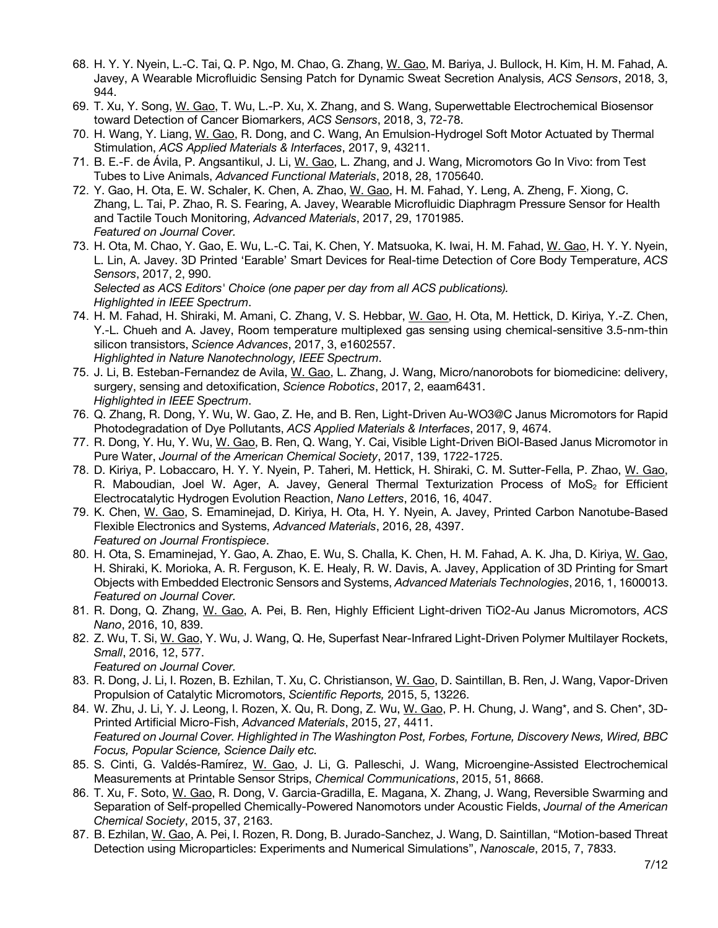- 68. H. Y. Y. Nyein, L.-C. Tai, Q. P. Ngo, M. Chao, G. Zhang, W. Gao, M. Bariya, J. Bullock, H. Kim, H. M. Fahad, A. Javey, A Wearable Microfluidic Sensing Patch for Dynamic Sweat Secretion Analysis, *ACS Sensors*, 2018, 3, 944.
- 69. T. Xu, Y. Song, W. Gao, T. Wu, L.-P. Xu, X. Zhang, and S. Wang, Superwettable Electrochemical Biosensor toward Detection of Cancer Biomarkers, *ACS Sensors*, 2018, 3, 72-78.
- 70. H. Wang, Y. Liang, W. Gao, R. Dong, and C. Wang, An Emulsion-Hydrogel Soft Motor Actuated by Thermal Stimulation, *ACS Applied Materials & Interfaces*, 2017, 9, 43211.
- 71. B. E.-F. de Ávila, P. Angsantikul, J. Li, W. Gao, L. Zhang, and J. Wang, Micromotors Go In Vivo: from Test Tubes to Live Animals, *Advanced Functional Materials*, 2018, 28, 1705640.
- 72. Y. Gao, H. Ota, E. W. Schaler, K. Chen, A. Zhao, W. Gao, H. M. Fahad, Y. Leng, A. Zheng, F. Xiong, C. Zhang, L. Tai, P. Zhao, R. S. Fearing, A. Javey, Wearable Microfluidic Diaphragm Pressure Sensor for Health and Tactile Touch Monitoring, *Advanced Materials*, 2017, 29, 1701985. *Featured on Journal Cover.*
- 73. H. Ota, M. Chao, Y. Gao, E. Wu, L.-C. Tai, K. Chen, Y. Matsuoka, K. Iwai, H. M. Fahad, W. Gao, H. Y. Y. Nyein, L. Lin, A. Javey. 3D Printed 'Earable' Smart Devices for Real-time Detection of Core Body Temperature, *ACS Sensors*, 2017, 2, 990.

*Selected as ACS Editors' Choice (one paper per day from all ACS publications). Highlighted in IEEE Spectrum*.

- 74. H. M. Fahad, H. Shiraki, M. Amani, C. Zhang, V. S. Hebbar, W. Gao, H. Ota, M. Hettick, D. Kiriya, Y.-Z. Chen, Y.-L. Chueh and A. Javey, Room temperature multiplexed gas sensing using chemical-sensitive 3.5-nm-thin silicon transistors, *Science Advances*, 2017, 3, e1602557. *Highlighted in Nature Nanotechnology, IEEE Spectrum*.
- 75. J. Li, B. Esteban-Fernandez de Avila, W. Gao, L. Zhang, J. Wang, Micro/nanorobots for biomedicine: delivery, surgery, sensing and detoxification, *Science Robotics*, 2017, 2, eaam6431. *Highlighted in IEEE Spectrum*.
- 76. Q. Zhang, R. Dong, Y. Wu, W. Gao, Z. He, and B. Ren, Light-Driven Au-WO3@C Janus Micromotors for Rapid Photodegradation of Dye Pollutants, *ACS Applied Materials & Interfaces*, 2017, 9, 4674.
- 77. R. Dong, Y. Hu, Y. Wu, W. Gao, B. Ren, Q. Wang, Y. Cai, Visible Light-Driven BiOI-Based Janus Micromotor in Pure Water, *Journal of the American Chemical Society*, 2017, 139, 1722-1725.
- 78. D. Kiriya, P. Lobaccaro, H. Y. Y. Nyein, P. Taheri, M. Hettick, H. Shiraki, C. M. Sutter-Fella, P. Zhao, W. Gao, R. Maboudian, Joel W. Ager, A. Javey, General Thermal Texturization Process of MoS<sub>2</sub> for Efficient Electrocatalytic Hydrogen Evolution Reaction, *Nano Letters*, 2016, 16, 4047.
- 79. K. Chen, W. Gao, S. Emaminejad, D. Kiriya, H. Ota, H. Y. Nyein, A. Javey, Printed Carbon Nanotube-Based Flexible Electronics and Systems, *Advanced Materials*, 2016, 28, 4397. *Featured on Journal Frontispiece*.
- 80. H. Ota, S. Emaminejad, Y. Gao, A. Zhao, E. Wu, S. Challa, K. Chen, H. M. Fahad, A. K. Jha, D. Kiriya, W. Gao, H. Shiraki, K. Morioka, A. R. Ferguson, K. E. Healy, R. W. Davis, A. Javey, Application of 3D Printing for Smart Objects with Embedded Electronic Sensors and Systems, *Advanced Materials Technologies*, 2016, 1, 1600013. *Featured on Journal Cover.*
- 81. R. Dong, Q. Zhang, W. Gao, A. Pei, B. Ren, Highly Efficient Light-driven TiO2-Au Janus Micromotors, *ACS Nano*, 2016, 10, 839.
- 82. Z. Wu, T. Si, W. Gao, Y. Wu, J. Wang, Q. He, Superfast Near-Infrared Light-Driven Polymer Multilayer Rockets, *Small*, 2016, 12, 577. *Featured on Journal Cover.*
- 83. R. Dong, J. Li, I. Rozen, B. Ezhilan, T. Xu, C. Christianson, W. Gao, D. Saintillan, B. Ren, J. Wang, Vapor-Driven Propulsion of Catalytic Micromotors, *Scientific Reports,* 2015, 5, 13226.
- 84. W. Zhu, J. Li, Y. J. Leong, I. Rozen, X. Qu, R. Dong, Z. Wu, W. Gao, P. H. Chung, J. Wang\*, and S. Chen\*, 3D-Printed Artificial Micro-Fish, *Advanced Materials*, 2015, 27, 4411. *Featured on Journal Cover. Highlighted in The Washington Post, Forbes, Fortune, Discovery News, Wired, BBC Focus, Popular Science, Science Daily etc.*
- 85. S. Cinti, G. Valdés-Ramírez, W. Gao, J. Li, G. Palleschi, J. Wang, Microengine-Assisted Electrochemical Measurements at Printable Sensor Strips, *Chemical Communications*, 2015, 51, 8668.
- 86. T. Xu, F. Soto, W. Gao, R. Dong, V. Garcia-Gradilla, E. Magana, X. Zhang, J. Wang, Reversible Swarming and Separation of Self-propelled Chemically-Powered Nanomotors under Acoustic Fields, *Journal of the American Chemical Society*, 2015, 37, 2163.
- 87. B. Ezhilan, W. Gao, A. Pei, I. Rozen, R. Dong, B. Jurado-Sanchez, J. Wang, D. Saintillan, "Motion-based Threat Detection using Microparticles: Experiments and Numerical Simulations", *Nanoscale*, 2015, 7, 7833.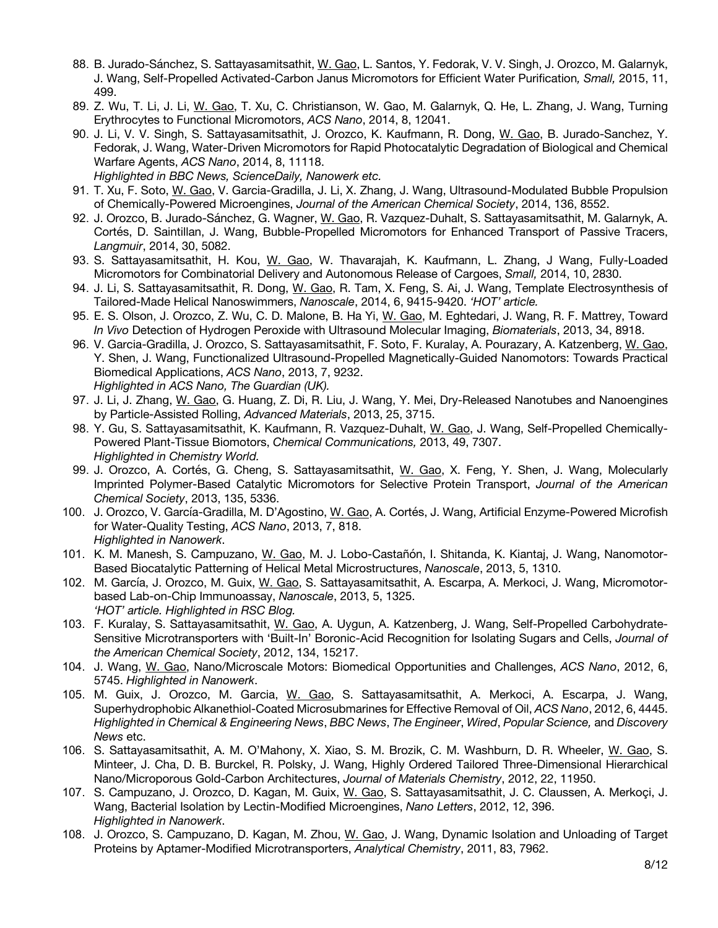- 88. B. Jurado-Sánchez, S. Sattayasamitsathit, W. Gao, L. Santos, Y. Fedorak, V. V. Singh, J. Orozco, M. Galarnyk, J. Wang, Self-Propelled Activated-Carbon Janus Micromotors for Efficient Water Purification*, Small,* 2015, 11, 499.
- 89. Z. Wu, T. Li, J. Li, W. Gao, T. Xu, C. Christianson, W. Gao, M. Galarnyk, Q. He, L. Zhang, J. Wang, Turning Erythrocytes to Functional Micromotors, *ACS Nano*, 2014, 8, 12041.
- 90. J. Li, V. V. Singh, S. Sattayasamitsathit, J. Orozco, K. Kaufmann, R. Dong, W. Gao, B. Jurado-Sanchez, Y. Fedorak, J. Wang, Water-Driven Micromotors for Rapid Photocatalytic Degradation of Biological and Chemical Warfare Agents, *ACS Nano*, 2014, 8, 11118.
	- *Highlighted in BBC News, ScienceDaily, Nanowerk etc.*
- 91. T. Xu, F. Soto, W. Gao, V. Garcia-Gradilla, J. Li, X. Zhang, J. Wang, Ultrasound-Modulated Bubble Propulsion of Chemically-Powered Microengines, *Journal of the American Chemical Society*, 2014, 136, 8552.
- 92. J. Orozco, B. Jurado-Sánchez, G. Wagner, W. Gao, R. Vazquez-Duhalt, S. Sattayasamitsathit, M. Galarnyk, A. Cortés, D. Saintillan, J. Wang, Bubble-Propelled Micromotors for Enhanced Transport of Passive Tracers, *Langmuir*, 2014, 30, 5082.
- 93. S. Sattayasamitsathit, H. Kou, W. Gao, W. Thavarajah, K. Kaufmann, L. Zhang, J Wang, Fully-Loaded Micromotors for Combinatorial Delivery and Autonomous Release of Cargoes, *Small,* 2014, 10, 2830.
- 94. J. Li, S. Sattayasamitsathit, R. Dong, W. Gao, R. Tam, X. Feng, S. Ai, J. Wang, Template Electrosynthesis of Tailored-Made Helical Nanoswimmers, *Nanoscale*, 2014, 6, 9415-9420. *'HOT' article.*
- 95. E. S. Olson, J. Orozco, Z. Wu, C. D. Malone, B. Ha Yi, W. Gao, M. Eghtedari, J. Wang, R. F. Mattrey, Toward *In Vivo* Detection of Hydrogen Peroxide with Ultrasound Molecular Imaging, *Biomaterials*, 2013, 34, 8918.
- 96. V. Garcia-Gradilla, J. Orozco, S. Sattayasamitsathit, F. Soto, F. Kuralay, A. Pourazary, A. Katzenberg, W. Gao, Y. Shen, J. Wang, Functionalized Ultrasound-Propelled Magnetically-Guided Nanomotors: Towards Practical Biomedical Applications, *ACS Nano*, 2013, 7, 9232. *Highlighted in ACS Nano, The Guardian (UK).*
- 97. J. Li, J. Zhang, W. Gao, G. Huang, Z. Di, R. Liu, J. Wang, Y. Mei, Dry-Released Nanotubes and Nanoengines by Particle-Assisted Rolling, *Advanced Materials*, 2013, 25, 3715.
- 98. Y. Gu, S. Sattayasamitsathit, K. Kaufmann, R. Vazquez-Duhalt, W. Gao, J. Wang, Self-Propelled Chemically-Powered Plant-Tissue Biomotors, *Chemical Communications,* 2013, 49, 7307. *Highlighted in Chemistry World.*
- 99. J. Orozco, A. Cortés, G. Cheng, S. Sattayasamitsathit, W. Gao, X. Feng, Y. Shen, J. Wang, Molecularly Imprinted Polymer-Based Catalytic Micromotors for Selective Protein Transport, *Journal of the American Chemical Society*, 2013, 135, 5336.
- 100. J. Orozco, V. García-Gradilla, M. D'Agostino, W. Gao, A. Cortés, J. Wang, Artificial Enzyme-Powered Microfish for Water-Quality Testing, *ACS Nano*, 2013, 7, 818. *Highlighted in Nanowerk*.
- 101. K. M. Manesh, S. Campuzano, W. Gao, M. J. Lobo-Castañón, I. Shitanda, K. Kiantaj, J. Wang, Nanomotor-Based Biocatalytic Patterning of Helical Metal Microstructures, *Nanoscale*, 2013, 5, 1310.
- 102. M. García, J. Orozco, M. Guix, W. Gao, S. Sattayasamitsathit, A. Escarpa, A. Merkoci, J. Wang, Micromotorbased Lab-on-Chip Immunoassay, *Nanoscale*, 2013, 5, 1325. *'HOT' article. Highlighted in RSC Blog.*
- 103. F. Kuralay, S. Sattayasamitsathit, W. Gao, A. Uygun, A. Katzenberg, J. Wang, Self-Propelled Carbohydrate-Sensitive Microtransporters with 'Built-In' Boronic-Acid Recognition for Isolating Sugars and Cells, *Journal of the American Chemical Society*, 2012, 134, 15217.
- 104. J. Wang, W. Gao, Nano/Microscale Motors: Biomedical Opportunities and Challenges, *ACS Nano*, 2012, 6, 5745. *Highlighted in Nanowerk*.
- 105. M. Guix, J. Orozco, M. Garcia, W. Gao, S. Sattayasamitsathit, A. Merkoci, A. Escarpa, J. Wang, Superhydrophobic Alkanethiol-Coated Microsubmarines for Effective Removal of Oil, *ACS Nano*, 2012, 6, 4445. *Highlighted in Chemical & Engineering News*, *BBC News*, *The Engineer*, *Wired*, *Popular Science,* and *Discovery News* etc.
- 106. S. Sattayasamitsathit, A. M. O'Mahony, X. Xiao, S. M. Brozik, C. M. Washburn, D. R. Wheeler, W. Gao, S. Minteer, J. Cha, D. B. Burckel, R. Polsky, J. Wang, Highly Ordered Tailored Three-Dimensional Hierarchical Nano/Microporous Gold-Carbon Architectures, *Journal of Materials Chemistry*, 2012, 22, 11950.
- 107. S. Campuzano, J. Orozco, D. Kagan, M. Guix, W. Gao, S. Sattayasamitsathit, J. C. Claussen, A. Merkoçi, J. Wang, Bacterial Isolation by Lectin-Modified Microengines, *Nano Letters*, 2012, 12, 396. *Highlighted in Nanowerk*.
- 108. J. Orozco, S. Campuzano, D. Kagan, M. Zhou, W. Gao, J. Wang, Dynamic Isolation and Unloading of Target Proteins by Aptamer-Modified Microtransporters, *Analytical Chemistry*, 2011, 83, 7962.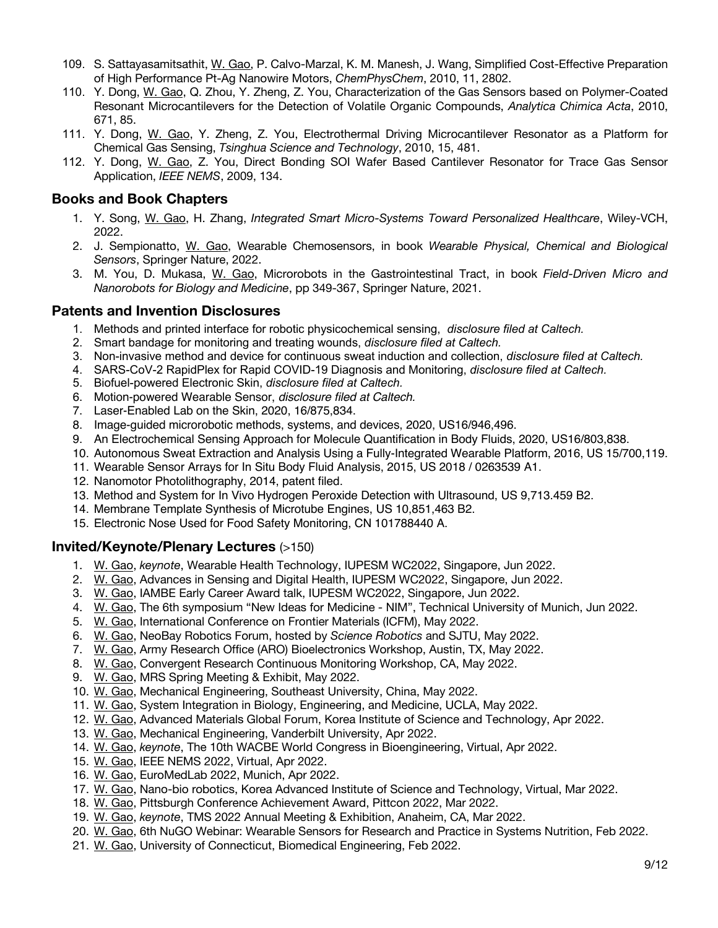- 109. S. Sattayasamitsathit, W. Gao, P. Calvo-Marzal, K. M. Manesh, J. Wang, Simplified Cost-Effective Preparation of High Performance Pt-Ag Nanowire Motors, *ChemPhysChem*, 2010, 11, 2802.
- 110. Y. Dong, W. Gao, Q. Zhou, Y. Zheng, Z. You, Characterization of the Gas Sensors based on Polymer-Coated Resonant Microcantilevers for the Detection of Volatile Organic Compounds, *Analytica Chimica Acta*, 2010, 671, 85.
- 111. Y. Dong, W. Gao, Y. Zheng, Z. You, Electrothermal Driving Microcantilever Resonator as a Platform for Chemical Gas Sensing, *Tsinghua Science and Technology*, 2010, 15, 481.
- 112. Y. Dong, W. Gao, Z. You, Direct Bonding SOI Wafer Based Cantilever Resonator for Trace Gas Sensor Application, *IEEE NEMS*, 2009, 134.

# **Books and Book Chapters**

- 1. Y. Song, W. Gao, H. Zhang, *Integrated Smart Micro-Systems Toward Personalized Healthcare*, Wiley-VCH, 2022.
- 2. J. Sempionatto, W. Gao, Wearable Chemosensors, in book *Wearable Physical, Chemical and Biological Sensors*, Springer Nature, 2022.
- 3. M. You, D. Mukasa, W. Gao, Microrobots in the Gastrointestinal Tract, in book *Field-Driven Micro and Nanorobots for Biology and Medicine*, pp 349-367, Springer Nature, 2021.

# **Patents and Invention Disclosures**

- 1. Methods and printed interface for robotic physicochemical sensing, *disclosure filed at Caltech.*
- 2. Smart bandage for monitoring and treating wounds, *disclosure filed at Caltech.*
- 3. Non-invasive method and device for continuous sweat induction and collection, *disclosure filed at Caltech.*
- 4. SARS-CoV-2 RapidPlex for Rapid COVID-19 Diagnosis and Monitoring, *disclosure filed at Caltech.*
- 5. Biofuel-powered Electronic Skin, *disclosure filed at Caltech.*
- 6. Motion-powered Wearable Sensor, *disclosure filed at Caltech.*
- 7. Laser-Enabled Lab on the Skin, 2020, 16/875,834.
- 8. Image-guided microrobotic methods, systems, and devices, 2020, US16/946,496.
- 9. An Electrochemical Sensing Approach for Molecule Quantification in Body Fluids, 2020, US16/803,838.
- 10. Autonomous Sweat Extraction and Analysis Using a Fully-Integrated Wearable Platform, 2016, US 15/700,119.
- 11. Wearable Sensor Arrays for In Situ Body Fluid Analysis, 2015, US 2018 / 0263539 A1.
- 12. Nanomotor Photolithography, 2014, patent filed.
- 13. Method and System for In Vivo Hydrogen Peroxide Detection with Ultrasound, US 9,713.459 B2.
- 14. Membrane Template Synthesis of Microtube Engines, US 10,851,463 B2.
- 15. Electronic Nose Used for Food Safety Monitoring, CN 101788440 A.

# **Invited/Keynote/Plenary Lectures** (>150)

- 1. W. Gao, *keynote*, Wearable Health Technology, IUPESM WC2022, Singapore, Jun 2022.
- 2. W. Gao, Advances in Sensing and Digital Health, IUPESM WC2022, Singapore, Jun 2022.
- 3. W. Gao, IAMBE Early Career Award talk, IUPESM WC2022, Singapore, Jun 2022.
- 4. W. Gao, The 6th symposium "New Ideas for Medicine NIM", Technical University of Munich, Jun 2022.
- 5. W. Gao, International Conference on Frontier Materials (ICFM), May 2022.
- 6. W. Gao, NeoBay Robotics Forum, hosted by *Science Robotics* and SJTU, May 2022.
- 7. W. Gao, Army Research Office (ARO) Bioelectronics Workshop, Austin, TX, May 2022.
- 8. W. Gao, Convergent Research Continuous Monitoring Workshop, CA, May 2022.
- 9. W. Gao, MRS Spring Meeting & Exhibit, May 2022.
- 10. W. Gao, Mechanical Engineering, Southeast University, China, May 2022.
- 11. W. Gao, System Integration in Biology, Engineering, and Medicine, UCLA, May 2022.
- 12. W. Gao, Advanced Materials Global Forum, Korea Institute of Science and Technology, Apr 2022.
- 13. W. Gao, Mechanical Engineering, Vanderbilt University, Apr 2022.
- 14. W. Gao, *keynote*, The 10th WACBE World Congress in Bioengineering, Virtual, Apr 2022.
- 15. W. Gao, IEEE NEMS 2022, Virtual, Apr 2022.
- 16. W. Gao, EuroMedLab 2022, Munich, Apr 2022.
- 17. W. Gao, Nano-bio robotics, Korea Advanced Institute of Science and Technology, Virtual, Mar 2022.
- 18. W. Gao, Pittsburgh Conference Achievement Award, Pittcon 2022, Mar 2022.
- 19. W. Gao, *keynote*, TMS 2022 Annual Meeting & Exhibition, Anaheim, CA, Mar 2022.
- 20. W. Gao, 6th NuGO Webinar: Wearable Sensors for Research and Practice in Systems Nutrition, Feb 2022.
- 21. W. Gao, University of Connecticut, Biomedical Engineering, Feb 2022.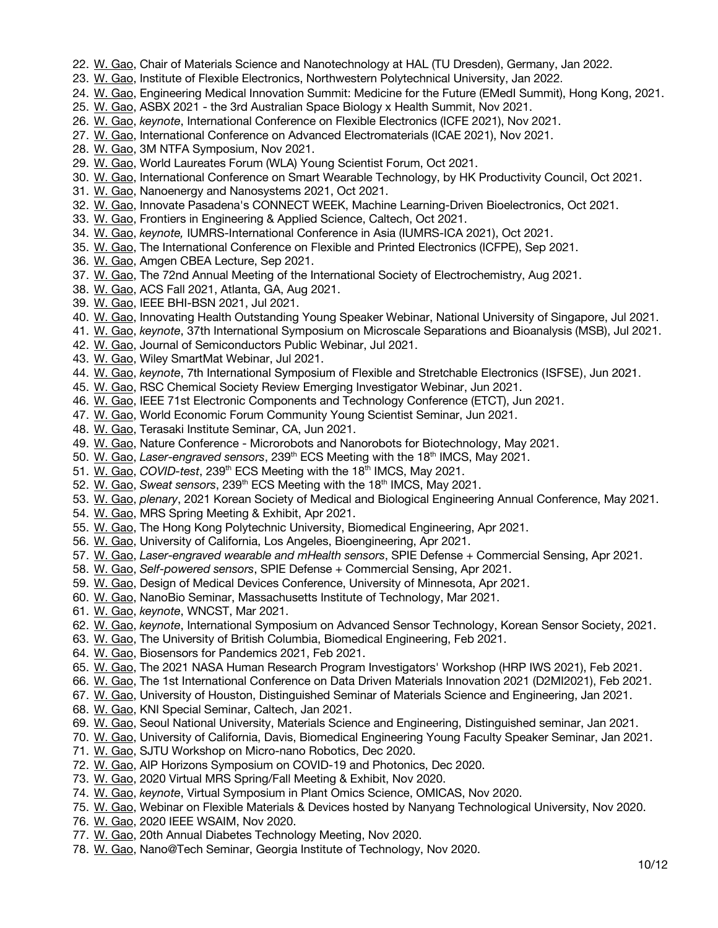- 22. W. Gao, Chair of Materials Science and Nanotechnology at HAL (TU Dresden), Germany, Jan 2022.
- 23. W. Gao, Institute of Flexible Electronics, Northwestern Polytechnical University, Jan 2022.
- 24. W. Gao, Engineering Medical Innovation Summit: Medicine for the Future (EMedI Summit), Hong Kong, 2021.
- 25. W. Gao, ASBX 2021 the 3rd Australian Space Biology x Health Summit, Nov 2021.
- 26. W. Gao, *keynote*, International Conference on Flexible Electronics (ICFE 2021), Nov 2021.
- 27. W. Gao, International Conference on Advanced Electromaterials (ICAE 2021), Nov 2021.
- 28. W. Gao, 3M NTFA Symposium, Nov 2021.
- 29. W. Gao, World Laureates Forum (WLA) Young Scientist Forum, Oct 2021.
- 30. W. Gao, International Conference on Smart Wearable Technology, by HK Productivity Council, Oct 2021.
- 31. W. Gao, Nanoenergy and Nanosystems 2021, Oct 2021.
- 32. W. Gao, Innovate Pasadena's CONNECT WEEK, Machine Learning-Driven Bioelectronics, Oct 2021.
- 33. W. Gao, Frontiers in Engineering & Applied Science, Caltech, Oct 2021.
- 34. W. Gao, *keynote,* IUMRS-International Conference in Asia (IUMRS-ICA 2021), Oct 2021.
- 35. W. Gao, The International Conference on Flexible and Printed Electronics (ICFPE), Sep 2021.
- 36. W. Gao, Amgen CBEA Lecture, Sep 2021.
- 37. W. Gao, The 72nd Annual Meeting of the International Society of Electrochemistry, Aug 2021.
- 38. W. Gao, ACS Fall 2021, Atlanta, GA, Aug 2021.
- 39. W. Gao, IEEE BHI-BSN 2021, Jul 2021.
- 40. W. Gao, Innovating Health Outstanding Young Speaker Webinar, National University of Singapore, Jul 2021.
- 41. W. Gao, *keynote*, 37th International Symposium on Microscale Separations and Bioanalysis (MSB), Jul 2021.
- 42. W. Gao, Journal of Semiconductors Public Webinar, Jul 2021.
- 43. W. Gao, Wiley SmartMat Webinar, Jul 2021.
- 44. W. Gao, *keynote*, 7th International Symposium of Flexible and Stretchable Electronics (ISFSE), Jun 2021.
- 45. W. Gao, RSC Chemical Society Review Emerging Investigator Webinar, Jun 2021.
- 46. W. Gao, IEEE 71st Electronic Components and Technology Conference (ETCT), Jun 2021.
- 47. W. Gao, World Economic Forum Community Young Scientist Seminar, Jun 2021.
- 48. W. Gao, Terasaki Institute Seminar, CA, Jun 2021.
- 49. W. Gao, Nature Conference Microrobots and Nanorobots for Biotechnology, May 2021.
- 50. W. Gao, Laser-engraved sensors, 239<sup>th</sup> ECS Meeting with the 18<sup>th</sup> IMCS, May 2021.
- 51. W. Gao, *COVID-test*, 239<sup>th</sup> ECS Meeting with the 18<sup>th</sup> IMCS, May 2021.
- 52. W. Gao, *Sweat sensors*, 239th ECS Meeting with the 18th IMCS, May 2021.
- 53. W. Gao, *plenary*, 2021 Korean Society of Medical and Biological Engineering Annual Conference, May 2021.
- 54. W. Gao, MRS Spring Meeting & Exhibit, Apr 2021.
- 55. W. Gao, The Hong Kong Polytechnic University, Biomedical Engineering, Apr 2021.
- 56. W. Gao, University of California, Los Angeles, Bioengineering, Apr 2021.
- 57. W. Gao, *Laser-engraved wearable and mHealth sensors*, SPIE Defense + Commercial Sensing, Apr 2021.
- 58. W. Gao, *Self-powered sensors*, SPIE Defense + Commercial Sensing, Apr 2021.
- 59. W. Gao, Design of Medical Devices Conference, University of Minnesota, Apr 2021.
- 60. W. Gao, NanoBio Seminar, Massachusetts Institute of Technology, Mar 2021.
- 61. W. Gao, *keynote*, WNCST, Mar 2021.
- 62. W. Gao, *keynote*, International Symposium on Advanced Sensor Technology, Korean Sensor Society, 2021.
- 63. W. Gao, The University of British Columbia, Biomedical Engineering, Feb 2021.
- 64. W. Gao, Biosensors for Pandemics 2021, Feb 2021.
- 65. W. Gao, The 2021 NASA Human Research Program Investigators' Workshop (HRP IWS 2021), Feb 2021.
- 66. W. Gao, The 1st International Conference on Data Driven Materials Innovation 2021 (D2MI2021), Feb 2021.
- 67. W. Gao, University of Houston, Distinguished Seminar of Materials Science and Engineering, Jan 2021.
- 68. W. Gao, KNI Special Seminar, Caltech, Jan 2021.
- 69. W. Gao, Seoul National University, Materials Science and Engineering, Distinguished seminar, Jan 2021.
- 70. W. Gao, University of California, Davis, Biomedical Engineering Young Faculty Speaker Seminar, Jan 2021.
- 71. W. Gao, SJTU Workshop on Micro-nano Robotics, Dec 2020.
- 72. W. Gao, AIP Horizons Symposium on COVID-19 and Photonics, Dec 2020.
- 73. W. Gao, 2020 Virtual MRS Spring/Fall Meeting & Exhibit, Nov 2020.
- 74. W. Gao, *keynote*, Virtual Symposium in Plant Omics Science, OMICAS, Nov 2020.
- 75. W. Gao, Webinar on Flexible Materials & Devices hosted by Nanyang Technological University, Nov 2020.
- 76. W. Gao, 2020 IEEE WSAIM, Nov 2020.
- 77. W. Gao, 20th Annual Diabetes Technology Meeting, Nov 2020.
- 78. W. Gao, Nano@Tech Seminar, Georgia Institute of Technology, Nov 2020.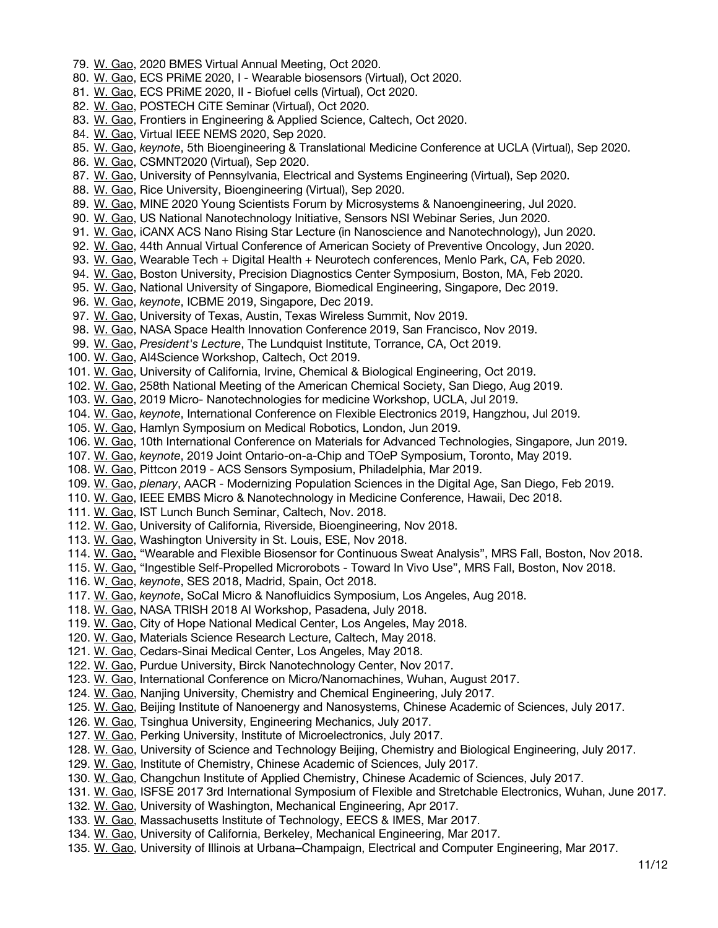79. W. Gao, 2020 BMES Virtual Annual Meeting, Oct 2020. 80. W. Gao, ECS PRiME 2020, I - Wearable biosensors (Virtual), Oct 2020. 81. W. Gao, ECS PRiME 2020, II - Biofuel cells (Virtual), Oct 2020. 82. W. Gao, POSTECH CiTE Seminar (Virtual), Oct 2020. 83. W. Gao, Frontiers in Engineering & Applied Science, Caltech, Oct 2020. 84. W. Gao, Virtual IEEE NEMS 2020, Sep 2020. 85. W. Gao, *keynote*, 5th Bioengineering & Translational Medicine Conference at UCLA (Virtual), Sep 2020. 86. W. Gao, CSMNT2020 (Virtual), Sep 2020. 87. W. Gao, University of Pennsylvania, Electrical and Systems Engineering (Virtual), Sep 2020. 88. W. Gao, Rice University, Bioengineering (Virtual), Sep 2020. 89. W. Gao, MINE 2020 Young Scientists Forum by Microsystems & Nanoengineering, Jul 2020. 90. W. Gao, US National Nanotechnology Initiative, Sensors NSI Webinar Series, Jun 2020. 91. W. Gao, iCANX ACS Nano Rising Star Lecture (in Nanoscience and Nanotechnology), Jun 2020. 92. W. Gao, 44th Annual Virtual Conference of American Society of Preventive Oncology, Jun 2020. 93. W. Gao, Wearable Tech + Digital Health + Neurotech conferences, Menlo Park, CA, Feb 2020. 94. W. Gao, Boston University, Precision Diagnostics Center Symposium, Boston, MA, Feb 2020. 95. W. Gao, National University of Singapore, Biomedical Engineering, Singapore, Dec 2019. 96. W. Gao, *keynote*, ICBME 2019, Singapore, Dec 2019. 97. W. Gao, University of Texas, Austin, Texas Wireless Summit, Nov 2019. 98. W. Gao, NASA Space Health Innovation Conference 2019, San Francisco, Nov 2019. 99. W. Gao, *President's Lecture*, The Lundquist Institute, Torrance, CA, Oct 2019. 100. W. Gao, AI4Science Workshop, Caltech, Oct 2019. 101. W. Gao, University of California, Irvine, Chemical & Biological Engineering, Oct 2019. 102. W. Gao, 258th National Meeting of the American Chemical Society, San Diego, Aug 2019. 103. W. Gao, 2019 Micro- Nanotechnologies for medicine Workshop, UCLA, Jul 2019. 104. W. Gao, *keynote*, International Conference on Flexible Electronics 2019, Hangzhou, Jul 2019. 105. W. Gao, Hamlyn Symposium on Medical Robotics, London, Jun 2019. 106. W. Gao, 10th International Conference on Materials for Advanced Technologies, Singapore, Jun 2019. 107. W. Gao, *keynote*, 2019 Joint Ontario-on-a-Chip and TOeP Symposium, Toronto, May 2019. 108. W. Gao, Pittcon 2019 - ACS Sensors Symposium, Philadelphia, Mar 2019. 109. W. Gao, *plenary*, AACR - Modernizing Population Sciences in the Digital Age, San Diego, Feb 2019. 110. W. Gao, IEEE EMBS Micro & Nanotechnology in Medicine Conference, Hawaii, Dec 2018. 111. W. Gao, IST Lunch Bunch Seminar, Caltech, Nov. 2018. 112. W. Gao, University of California, Riverside, Bioengineering, Nov 2018. 113. W. Gao, Washington University in St. Louis, ESE, Nov 2018. 114. W. Gao, "Wearable and Flexible Biosensor for Continuous Sweat Analysis", MRS Fall, Boston, Nov 2018. 115. W. Gao, "Ingestible Self-Propelled Microrobots - Toward In Vivo Use", MRS Fall, Boston, Nov 2018. 116. W. Gao, *keynote*, SES 2018, Madrid, Spain, Oct 2018. 117. W. Gao, *keynote*, SoCal Micro & Nanofluidics Symposium, Los Angeles, Aug 2018. 118. W. Gao, NASA TRISH 2018 AI Workshop, Pasadena, July 2018. 119. W. Gao, City of Hope National Medical Center, Los Angeles, May 2018. 120. W. Gao, Materials Science Research Lecture, Caltech, May 2018. 121. W. Gao, Cedars-Sinai Medical Center, Los Angeles, May 2018. 122. W. Gao, Purdue University, Birck Nanotechnology Center, Nov 2017. 123. W. Gao, International Conference on Micro/Nanomachines, Wuhan, August 2017. 124. W. Gao, Nanjing University, Chemistry and Chemical Engineering, July 2017. 125. W. Gao, Beijing Institute of Nanoenergy and Nanosystems, Chinese Academic of Sciences, July 2017. 126. W. Gao, Tsinghua University, Engineering Mechanics, July 2017. 127. W. Gao, Perking University, Institute of Microelectronics, July 2017. 128. W. Gao, University of Science and Technology Beijing, Chemistry and Biological Engineering, July 2017. 129. W. Gao, Institute of Chemistry, Chinese Academic of Sciences, July 2017. 130. W. Gao, Changchun Institute of Applied Chemistry, Chinese Academic of Sciences, July 2017. 131. W. Gao, ISFSE 2017 3rd International Symposium of Flexible and Stretchable Electronics, Wuhan, June 2017. 132. W. Gao, University of Washington, Mechanical Engineering, Apr 2017. 133. W. Gao, Massachusetts Institute of Technology, EECS & IMES, Mar 2017. 134. W. Gao, University of California, Berkeley, Mechanical Engineering, Mar 2017. 135. W. Gao, University of Illinois at Urbana–Champaign, Electrical and Computer Engineering, Mar 2017.